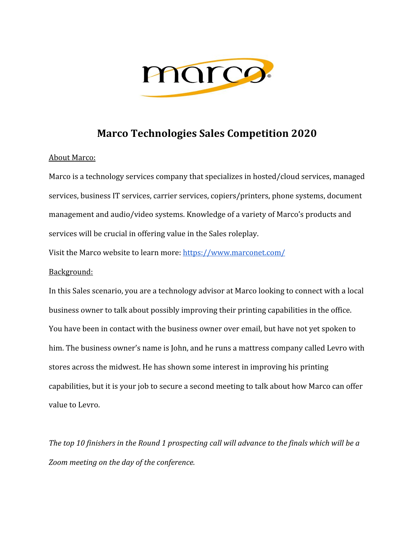

# **Marco Technologies Sales Competition 2020**

### About Marco:

Marco is a technology services company that specializes in hosted/cloud services, managed services, business IT services, carrier services, copiers/printers, phone systems, document management and audio/video systems. Knowledge of a variety of Marco's products and services will be crucial in offering value in the Sales roleplay.

Visit the Marco website to learn more: <https://www.marconet.com/>

## Background:

In this Sales scenario, you are a technology advisor at Marco looking to connect with a local business owner to talk about possibly improving their printing capabilities in the office. You have been in contact with the business owner over email, but have not yet spoken to him. The business owner's name is John, and he runs a mattress company called Levro with stores across the midwest. He has shown some interest in improving his printing capabilities, but it is your job to secure a second meeting to talk about how Marco can offer value to Levro.

*The top 10 finishers in the Round 1 prospecting call will advance to the finals which will be a Zoom meeting on the day of the conference.*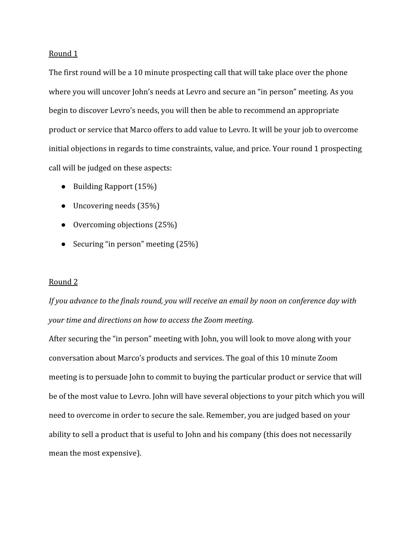#### Round 1

The first round will be a 10 minute prospecting call that will take place over the phone where you will uncover John's needs at Levro and secure an "in person" meeting. As you begin to discover Levro's needs, you will then be able to recommend an appropriate product or service that Marco offers to add value to Levro. It will be your job to overcome initial objections in regards to time constraints, value, and price. Your round 1 prospecting call will be judged on these aspects:

- Building Rapport (15%)
- $\bullet$  Uncovering needs (35%)
- Overcoming objections (25%)
- Securing "in person" meeting (25%)

#### Round 2

*If you advance to the finals round, you will receive an email by noon on conference day with your time and directions on how to access the Zoom meeting.*

After securing the "in person" meeting with John, you will look to move along with your conversation about Marco's products and services. The goal of this 10 minute Zoom meeting is to persuade John to commit to buying the particular product or service that will be of the most value to Levro. John will have several objections to your pitch which you will need to overcome in order to secure the sale. Remember, you are judged based on your ability to sell a product that is useful to John and his company (this does not necessarily mean the most expensive).